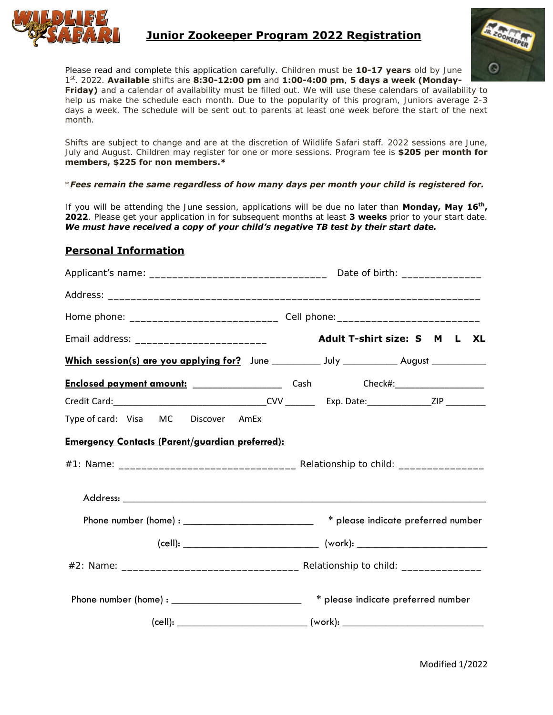

#### **Junior Zookeeper Program 2022 Registration**



Please read and complete this application carefully. Children must be **10-17 years** old by June 1 st . 2022. **Available** shifts are **8:30-12:00 pm** and **1:00-4:00 pm**, **5 days a week (Monday-Friday)** and a calendar of availability must be filled out. We will use these calendars of availability to

help us make the schedule each month. Due to the popularity of this program, Juniors average 2-3 days a week. The schedule will be sent out to parents at least one week before the start of the next month.

Shifts are subject to change and are at the discretion of Wildlife Safari staff. 2022 sessions are June, July and August. Children may register for one or more sessions. Program fee is **\$205 per month for members, \$225 for non members.\***

\**Fees remain the same regardless of how many days per month your child is registered for.*

If you will be attending the June session, applications will be due no later than **Monday, May 16th , 2022**. Please get your application in for subsequent months at least **3 weeks** prior to your start date. *We must have received a copy of your child's negative TB test by their start date.*

#### **Personal Information**

| Which session(s) are you applying for? June ____________ July ____________ August ____________ |  |  |  |                                    |  |
|------------------------------------------------------------------------------------------------|--|--|--|------------------------------------|--|
|                                                                                                |  |  |  |                                    |  |
|                                                                                                |  |  |  |                                    |  |
| Type of card: Visa MC Discover AmEx                                                            |  |  |  |                                    |  |
| <b>Emergency Contacts (Parent/guardian preferred):</b>                                         |  |  |  |                                    |  |
|                                                                                                |  |  |  |                                    |  |
| Phone number (home) : ____________________________ * please indicate preferred number          |  |  |  |                                    |  |
|                                                                                                |  |  |  |                                    |  |
|                                                                                                |  |  |  |                                    |  |
|                                                                                                |  |  |  | * please indicate preferred number |  |
|                                                                                                |  |  |  |                                    |  |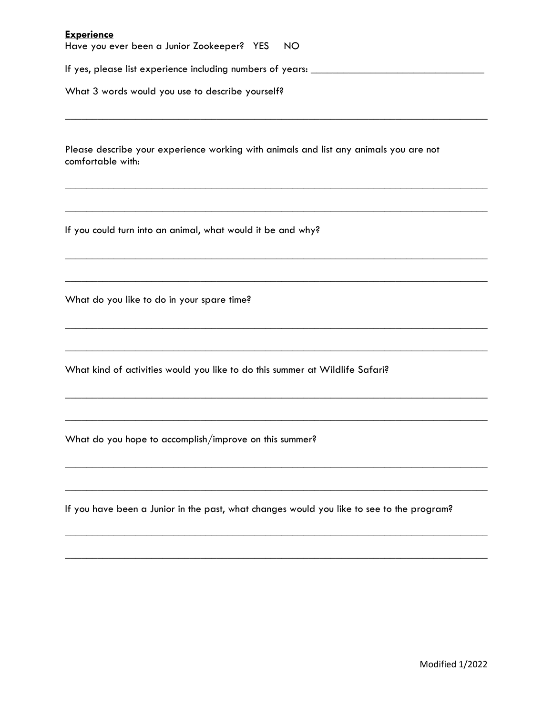#### **Experience**

Have you ever been a Junior Zookeeper? YES NO

If yes, please list experience including numbers of years: \_\_\_\_\_\_\_\_\_\_\_\_\_\_\_\_\_\_\_\_\_\_\_\_\_\_\_\_\_\_\_\_

What 3 words would you use to describe yourself?

Please describe your experience working with animals and list any animals you are not comfortable with:

\_\_\_\_\_\_\_\_\_\_\_\_\_\_\_\_\_\_\_\_\_\_\_\_\_\_\_\_\_\_\_\_\_\_\_\_\_\_\_\_\_\_\_\_\_\_\_\_\_\_\_\_\_\_\_\_\_\_\_\_\_\_\_\_\_\_\_\_\_\_\_\_\_\_\_\_\_\_

 $\_$  , and the set of the set of the set of the set of the set of the set of the set of the set of the set of the set of the set of the set of the set of the set of the set of the set of the set of the set of the set of th

 $\_$  , and the set of the set of the set of the set of the set of the set of the set of the set of the set of the set of the set of the set of the set of the set of the set of the set of the set of the set of the set of th

 $\_$  , and the set of the set of the set of the set of the set of the set of the set of the set of the set of the set of the set of the set of the set of the set of the set of the set of the set of the set of the set of th

 $\_$  , and the set of the set of the set of the set of the set of the set of the set of the set of the set of the set of the set of the set of the set of the set of the set of the set of the set of the set of the set of th

 $\_$  , and the set of the set of the set of the set of the set of the set of the set of the set of the set of the set of the set of the set of the set of the set of the set of the set of the set of the set of the set of th

\_\_\_\_\_\_\_\_\_\_\_\_\_\_\_\_\_\_\_\_\_\_\_\_\_\_\_\_\_\_\_\_\_\_\_\_\_\_\_\_\_\_\_\_\_\_\_\_\_\_\_\_\_\_\_\_\_\_\_\_\_\_\_\_\_\_\_\_\_\_\_\_\_\_\_\_\_\_

\_\_\_\_\_\_\_\_\_\_\_\_\_\_\_\_\_\_\_\_\_\_\_\_\_\_\_\_\_\_\_\_\_\_\_\_\_\_\_\_\_\_\_\_\_\_\_\_\_\_\_\_\_\_\_\_\_\_\_\_\_\_\_\_\_\_\_\_\_\_\_\_\_\_\_\_\_\_

 $\_$  , and the set of the set of the set of the set of the set of the set of the set of the set of the set of the set of the set of the set of the set of the set of the set of the set of the set of the set of the set of th

\_\_\_\_\_\_\_\_\_\_\_\_\_\_\_\_\_\_\_\_\_\_\_\_\_\_\_\_\_\_\_\_\_\_\_\_\_\_\_\_\_\_\_\_\_\_\_\_\_\_\_\_\_\_\_\_\_\_\_\_\_\_\_\_\_\_\_\_\_\_\_\_\_\_\_\_\_\_

\_\_\_\_\_\_\_\_\_\_\_\_\_\_\_\_\_\_\_\_\_\_\_\_\_\_\_\_\_\_\_\_\_\_\_\_\_\_\_\_\_\_\_\_\_\_\_\_\_\_\_\_\_\_\_\_\_\_\_\_\_\_\_\_\_\_\_\_\_\_\_\_\_\_\_\_\_\_

 $\_$  , and the set of the set of the set of the set of the set of the set of the set of the set of the set of the set of the set of the set of the set of the set of the set of the set of the set of the set of the set of th

 $\_$  , and the set of the set of the set of the set of the set of the set of the set of the set of the set of the set of the set of the set of the set of the set of the set of the set of the set of the set of the set of th

If you could turn into an animal, what would it be and why?

What do you like to do in your spare time?

What kind of activities would you like to do this summer at Wildlife Safari?

What do you hope to accomplish/improve on this summer?

If you have been a Junior in the past, what changes would you like to see to the program?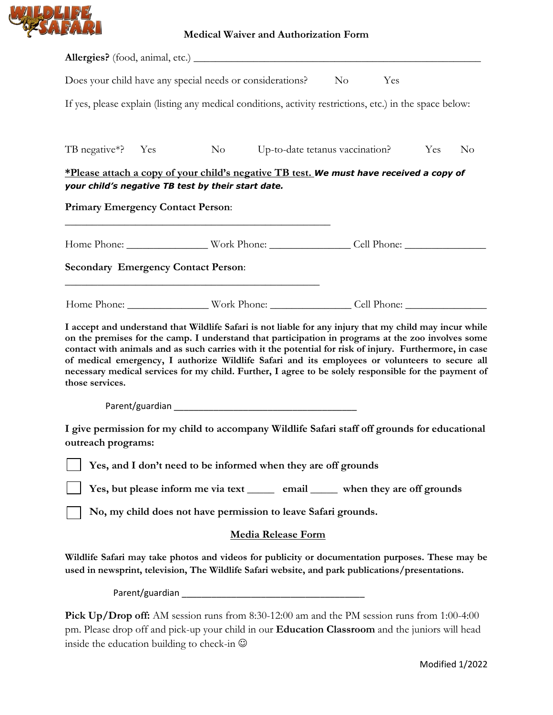

| Does your child have any special needs or considerations?                                                                                                                                                                                                                                                                                                                                                                                                                                                                                               |                                                                                 | $\overline{N}_{O}$              | Yes |     |                |
|---------------------------------------------------------------------------------------------------------------------------------------------------------------------------------------------------------------------------------------------------------------------------------------------------------------------------------------------------------------------------------------------------------------------------------------------------------------------------------------------------------------------------------------------------------|---------------------------------------------------------------------------------|---------------------------------|-----|-----|----------------|
| If yes, please explain (listing any medical conditions, activity restrictions, etc.) in the space below:                                                                                                                                                                                                                                                                                                                                                                                                                                                |                                                                                 |                                 |     |     |                |
| TB negative*? Yes                                                                                                                                                                                                                                                                                                                                                                                                                                                                                                                                       | $\overline{N_{O}}$                                                              | Up-to-date tetanus vaccination? |     | Yes | N <sub>o</sub> |
| <u>*Please attach a copy of your child's negative TB test.</u> We must have received a copy of<br>your child's negative TB test by their start date.                                                                                                                                                                                                                                                                                                                                                                                                    |                                                                                 |                                 |     |     |                |
| <b>Primary Emergency Contact Person:</b>                                                                                                                                                                                                                                                                                                                                                                                                                                                                                                                |                                                                                 |                                 |     |     |                |
|                                                                                                                                                                                                                                                                                                                                                                                                                                                                                                                                                         |                                                                                 |                                 |     |     |                |
| <b>Secondary Emergency Contact Person:</b>                                                                                                                                                                                                                                                                                                                                                                                                                                                                                                              |                                                                                 |                                 |     |     |                |
|                                                                                                                                                                                                                                                                                                                                                                                                                                                                                                                                                         |                                                                                 |                                 |     |     |                |
| I accept and understand that Wildlife Safari is not liable for any injury that my child may incur while<br>on the premises for the camp. I understand that participation in programs at the zoo involves some<br>contact with animals and as such carries with it the potential for risk of injury. Furthermore, in case<br>of medical emergency, I authorize Wildlife Safari and its employees or volunteers to secure all<br>necessary medical services for my child. Further, I agree to be solely responsible for the payment of<br>those services. |                                                                                 |                                 |     |     |                |
|                                                                                                                                                                                                                                                                                                                                                                                                                                                                                                                                                         |                                                                                 |                                 |     |     |                |
| I give permission for my child to accompany Wildlife Safari staff off grounds for educational<br>outreach programs:                                                                                                                                                                                                                                                                                                                                                                                                                                     |                                                                                 |                                 |     |     |                |
|                                                                                                                                                                                                                                                                                                                                                                                                                                                                                                                                                         | Yes, and I don't need to be informed when they are off grounds                  |                                 |     |     |                |
|                                                                                                                                                                                                                                                                                                                                                                                                                                                                                                                                                         | Yes, but please inform me via text ______ email _____ when they are off grounds |                                 |     |     |                |
|                                                                                                                                                                                                                                                                                                                                                                                                                                                                                                                                                         | No, my child does not have permission to leave Safari grounds.                  |                                 |     |     |                |
|                                                                                                                                                                                                                                                                                                                                                                                                                                                                                                                                                         | <b>Media Release Form</b>                                                       |                                 |     |     |                |
| Wildlife Safari may take photos and videos for publicity or documentation purposes. These may be<br>used in newsprint, television, The Wildlife Safari website, and park publications/presentations.                                                                                                                                                                                                                                                                                                                                                    |                                                                                 |                                 |     |     |                |
|                                                                                                                                                                                                                                                                                                                                                                                                                                                                                                                                                         |                                                                                 |                                 |     |     |                |
| <b>Pick Up/Drop off:</b> AM session runs from 8:30-12:00 am and the PM session runs from 1:00-4:00<br>pm. Please drop off and pick-up your child in our Education Classroom and the juniors will head                                                                                                                                                                                                                                                                                                                                                   |                                                                                 |                                 |     |     |                |

inside the education building to check-in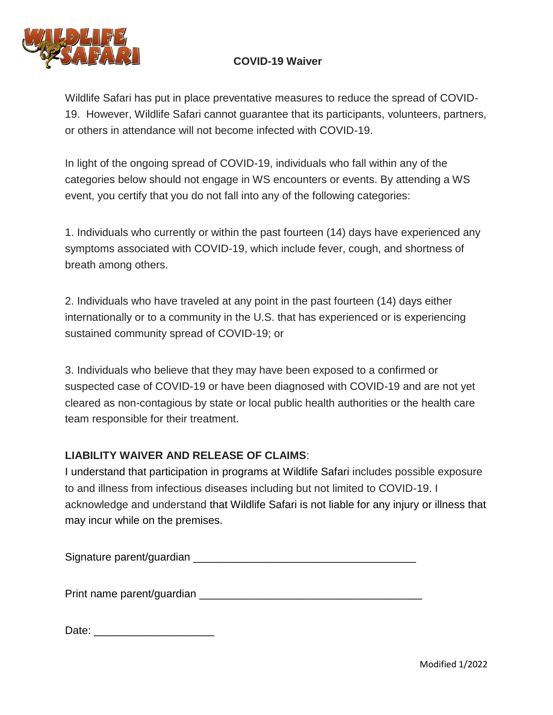

## **COVID-19 Waiver**

Wildlife Safari has put in place preventative measures to reduce the spread of COVID-19. However, Wildlife Safari cannot guarantee that its participants, volunteers, partners, or others in attendance will not become infected with COVID-19.

In light of the ongoing spread of COVID-19, individuals who fall within any of the categories below should not engage in WS encounters or events. By attending a WS event, you certify that you do not fall into any of the following categories:

1. Individuals who currently or within the past fourteen (14) days have experienced any symptoms associated with COVID-19, which include fever, cough, and shortness of breath among others.

2. Individuals who have traveled at any point in the past fourteen (14) days either internationally or to a community in the U.S. that has experienced or is experiencing sustained community spread of COVID-19; or

3. Individuals who believe that they may have been exposed to a confirmed or suspected case of COVID-19 or have been diagnosed with COVID-19 and are not yet cleared as non-contagious by state or local public health authorities or the health care team responsible for their treatment.

### **LIABILITY WAIVER AND RELEASE OF CLAIMS**:

I understand that participation in programs at Wildlife Safari includes possible exposure to and illness from infectious diseases including but not limited to COVID-19. I acknowledge and understand that Wildlife Safari is not liable for any injury or illness that may incur while on the premises.

Signature parent/guardian **Example 2018** 

Print name parent/quardian **Example 2018** 

Date: \_\_\_\_\_\_\_\_\_\_\_\_\_\_\_\_\_\_\_\_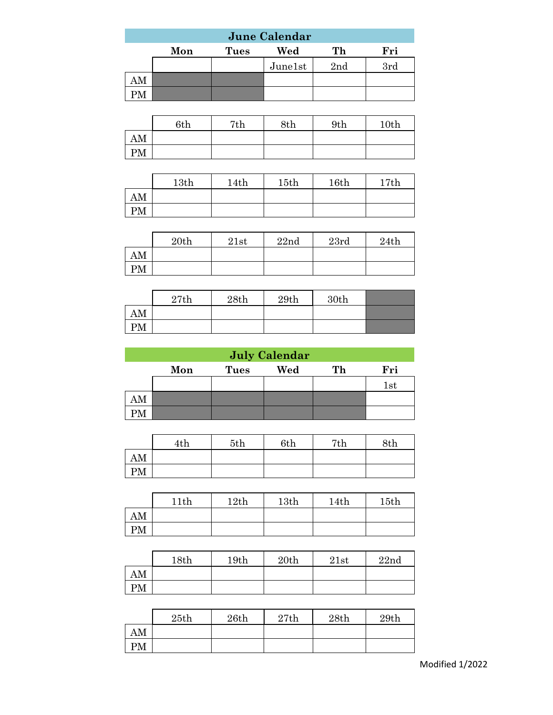| <b>June Calendar</b>                   |  |         |                 |     |  |  |  |  |  |  |
|----------------------------------------|--|---------|-----------------|-----|--|--|--|--|--|--|
| Fri<br>Wed<br>Mon<br>Th<br><b>Tues</b> |  |         |                 |     |  |  |  |  |  |  |
|                                        |  | June1st | 2 <sub>nd</sub> | 3rd |  |  |  |  |  |  |
|                                        |  |         |                 |     |  |  |  |  |  |  |
|                                        |  |         |                 |     |  |  |  |  |  |  |

|    | 6th | 7th | 8th | 9th | 10th |
|----|-----|-----|-----|-----|------|
| AM |     |     |     |     |      |
| PM |     |     |     |     |      |

|    | 13th | 14th | 15th | 16th | 17th |
|----|------|------|------|------|------|
| AM |      |      |      |      |      |
| PМ |      |      |      |      |      |

|    | 20th | 21st | 22nd | 23rd | 24th |
|----|------|------|------|------|------|
| AM |      |      |      |      |      |
| PM |      |      |      |      |      |

|    | 27th | 28th | 29th | 30th |  |
|----|------|------|------|------|--|
| AM |      |      |      |      |  |
| PM |      |      |      |      |  |

|    | <b>July Calendar</b>                   |  |  |  |              |  |  |  |  |  |  |
|----|----------------------------------------|--|--|--|--------------|--|--|--|--|--|--|
|    | Fri<br>Wed<br>Mon<br>Тh<br><b>Tues</b> |  |  |  |              |  |  |  |  |  |  |
|    |                                        |  |  |  | $_{\rm 1st}$ |  |  |  |  |  |  |
| AM |                                        |  |  |  |              |  |  |  |  |  |  |
|    |                                        |  |  |  |              |  |  |  |  |  |  |

|    | 4th | 5th | 6th | 7th | 8th |
|----|-----|-----|-----|-----|-----|
| AM |     |     |     |     |     |
| PM |     |     |     |     |     |

|    | 11th | 12th | 13th | 14th | 15th |
|----|------|------|------|------|------|
| AM |      |      |      |      |      |
| PM |      |      |      |      |      |

|    | 18th | 19th | 20th | 21st | 22nd |
|----|------|------|------|------|------|
| AM |      |      |      |      |      |
| PM |      |      |      |      |      |

|    | 25th | 26th | 27th | 28th | 29th |
|----|------|------|------|------|------|
| AM |      |      |      |      |      |
| PM |      |      |      |      |      |